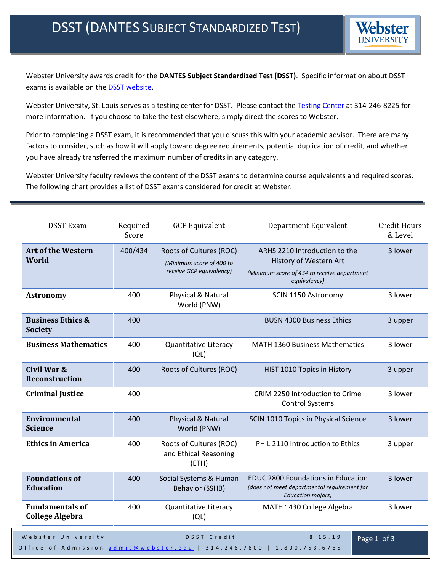Webster University awards credit for the **DANTES Subject Standardized Test (DSST)**. Specific information about DSST exams is available on the **DSST** website.

Webster University, St. Louis serves as a testing center for DSST. Please contact the [Testing Center](http://www.webster.edu/arc/testingcenter/index.shtml) at 314-246-8225 for more information. If you choose to take the test elsewhere, simply direct the scores to Webster.

Prior to completing a DSST exam, it is recommended that you discuss this with your academic advisor. There are many factors to consider, such as how it will apply toward degree requirements, potential duplication of credit, and whether you have already transferred the maximum number of credits in any category.

Webster University faculty reviews the content of the DSST exams to determine course equivalents and required scores. The following chart provides a list of DSST exams considered for credit at Webster.

| <b>DSST Exam</b>                                 | Required<br>Score | <b>GCP Equivalent</b>                                                           | Department Equivalent                                                                                                  | <b>Credit Hours</b><br>& Level |
|--------------------------------------------------|-------------------|---------------------------------------------------------------------------------|------------------------------------------------------------------------------------------------------------------------|--------------------------------|
| <b>Art of the Western</b><br>World               | 400/434           | Roots of Cultures (ROC)<br>(Minimum score of 400 to<br>receive GCP equivalency) | ARHS 2210 Introduction to the<br>History of Western Art<br>(Minimum score of 434 to receive department<br>equivalency) | 3 lower                        |
| <b>Astronomy</b>                                 | 400               | Physical & Natural<br>World (PNW)                                               | SCIN 1150 Astronomy                                                                                                    | 3 lower                        |
| <b>Business Ethics &amp;</b><br><b>Society</b>   | 400               |                                                                                 | <b>BUSN 4300 Business Ethics</b>                                                                                       | 3 upper                        |
| <b>Business Mathematics</b>                      | 400               | Quantitative Literacy<br>(QL)                                                   | <b>MATH 1360 Business Mathematics</b>                                                                                  | 3 lower                        |
| Civil War &<br><b>Reconstruction</b>             | 400               | Roots of Cultures (ROC)                                                         | HIST 1010 Topics in History                                                                                            | 3 upper                        |
| <b>Criminal Justice</b>                          | 400               |                                                                                 | CRIM 2250 Introduction to Crime<br><b>Control Systems</b>                                                              | 3 lower                        |
| <b>Environmental</b><br><b>Science</b>           | 400               | Physical & Natural<br>World (PNW)                                               | SCIN 1010 Topics in Physical Science                                                                                   | 3 lower                        |
| <b>Ethics in America</b>                         | 400               | Roots of Cultures (ROC)<br>and Ethical Reasoning<br>(ETH)                       | PHIL 2110 Introduction to Ethics                                                                                       | 3 upper                        |
| <b>Foundations of</b><br><b>Education</b>        | 400               | Social Systems & Human<br><b>Behavior (SSHB)</b>                                | <b>EDUC 2800 Foundations in Education</b><br>(does not meet departmental requirement for<br><b>Education majors)</b>   | 3 lower                        |
| <b>Fundamentals of</b><br><b>College Algebra</b> | 400               | <b>Quantitative Literacy</b><br>(QL)                                            | MATH 1430 College Algebra                                                                                              | 3 lower                        |
| Webster University                               |                   | DSST Credit                                                                     | 8.15.19                                                                                                                | Page 1 of 3                    |

Office of Admission [admit@webster.edu](mailto:admit@webster.edu) | 314.246.7800 | 1.800.753.6765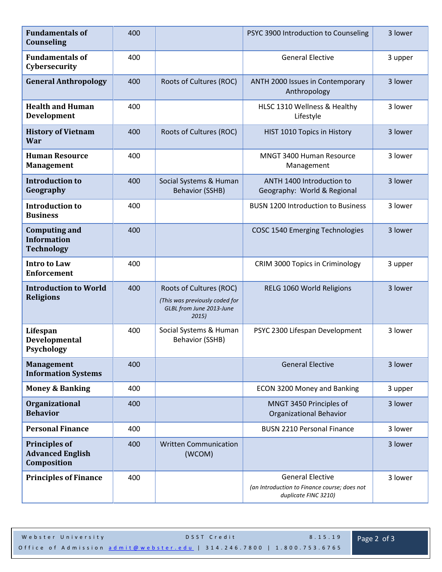| <b>Fundamentals of</b><br><b>Counseling</b>                     | 400 |                                                                                               | PSYC 3900 Introduction to Counseling                                                            | 3 lower |
|-----------------------------------------------------------------|-----|-----------------------------------------------------------------------------------------------|-------------------------------------------------------------------------------------------------|---------|
| <b>Fundamentals of</b><br>Cybersecurity                         | 400 |                                                                                               | <b>General Elective</b>                                                                         | 3 upper |
| <b>General Anthropology</b>                                     | 400 | Roots of Cultures (ROC)                                                                       | ANTH 2000 Issues in Contemporary<br>Anthropology                                                | 3 lower |
| <b>Health and Human</b><br>Development                          | 400 |                                                                                               | HLSC 1310 Wellness & Healthy<br>Lifestyle                                                       | 3 lower |
| <b>History of Vietnam</b><br><b>War</b>                         | 400 | Roots of Cultures (ROC)                                                                       | HIST 1010 Topics in History                                                                     | 3 lower |
| <b>Human Resource</b><br><b>Management</b>                      | 400 |                                                                                               | <b>MNGT 3400 Human Resource</b><br>Management                                                   | 3 lower |
| <b>Introduction to</b><br>Geography                             | 400 | Social Systems & Human<br><b>Behavior (SSHB)</b>                                              | ANTH 1400 Introduction to<br>Geography: World & Regional                                        | 3 lower |
| <b>Introduction to</b><br><b>Business</b>                       | 400 |                                                                                               | <b>BUSN 1200 Introduction to Business</b>                                                       | 3 lower |
| <b>Computing and</b><br><b>Information</b><br><b>Technology</b> | 400 |                                                                                               | <b>COSC 1540 Emerging Technologies</b>                                                          | 3 lower |
| <b>Intro to Law</b><br><b>Enforcement</b>                       | 400 |                                                                                               | CRIM 3000 Topics in Criminology                                                                 | 3 upper |
| <b>Introduction to World</b><br><b>Religions</b>                | 400 | Roots of Cultures (ROC)<br>(This was previously coded for<br>GLBL from June 2013-June<br>2015 | RELG 1060 World Religions                                                                       | 3 lower |
| Lifespan<br>Developmental<br><b>Psychology</b>                  | 400 | Social Systems & Human<br>Behavior (SSHB)                                                     | PSYC 2300 Lifespan Development                                                                  | 3 lower |
| <b>Management</b><br><b>Information Systems</b>                 | 400 |                                                                                               | <b>General Elective</b>                                                                         | 3 lower |
| <b>Money &amp; Banking</b>                                      | 400 |                                                                                               | ECON 3200 Money and Banking                                                                     | 3 upper |
| Organizational<br><b>Behavior</b>                               | 400 |                                                                                               | MNGT 3450 Principles of<br><b>Organizational Behavior</b>                                       | 3 lower |
| <b>Personal Finance</b>                                         | 400 |                                                                                               | <b>BUSN 2210 Personal Finance</b>                                                               | 3 lower |
| <b>Principles of</b><br><b>Advanced English</b><br>Composition  | 400 | <b>Written Communication</b><br>(WCOM)                                                        |                                                                                                 | 3 lower |
| <b>Principles of Finance</b>                                    | 400 |                                                                                               | <b>General Elective</b><br>(an Introduction to Finance course; does not<br>duplicate FINC 3210) | 3 lower |